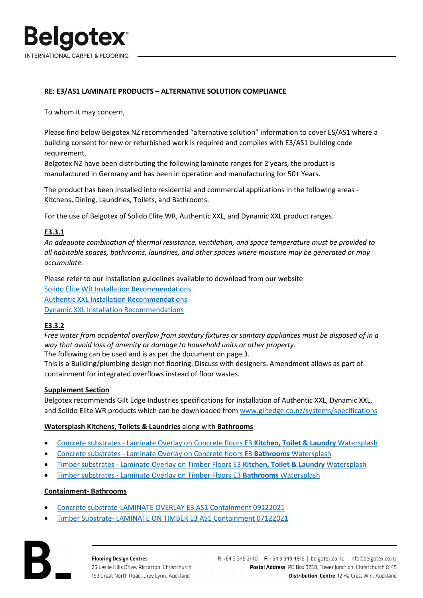

## **RE: E3/AS1 LAMINATE PRODUCTS – ALTERNATIVE SOLUTION COMPLIANCE**

To whom it may concern,

Please find below Belgotex NZ recommended "alternative solution" information to cover ES/AS1 where a building consent for new or refurbished work is required and complies with E3/AS1 building code requirement.

Belgotex NZ have been distributing the following laminate ranges for 2 years, the product is manufactured in Germany and has been in operation and manufacturing for 50+ Years.

The product has been installed into residential and commercial applications in the following areas - Kitchens, Dining, Laundries, Toilets, and Bathrooms.

For the use of Belgotex of Solido Elite WR, Authentic XXL, and Dynamic XXL product ranges.

## **E3.3.1**

*An adequate combination of thermal resistance, ventilation, and space temperature must be provided to all habitable spaces, bathrooms, laundries, and other spaces where moisture may be generated or may accumulate.* 

Please refer to our Installation guidelines available to download from our website [Solido Elite WR Installation](https://belgotex.co.nz/products/solido-elite-wr/) Recommendations [Authentic XXL Installation](https://belgotex.co.nz/products/authentic-xxl/) Recommendations [Dynamic XXL Installation](https://belgotex.co.nz/products/dynamic-xxl/) Recommendations

## **E3.3.2**

*Free water from accidental overflow from sanitary fixtures or sanitary appliances must be disposed of in a way that avoid loss of amenity or damage to household units or other property.*  The following can be used and is as per the document on page 3.

This is a Building/plumbing design not flooring. Discuss with designers. Amendment allows as part of containment for integrated overflows instead of floor wastes.

## **Supplement Section**

Belgotex recommends Gilt Edge Industries specifications for installation of Authentic XXL, Dynamic XXL, and Solido Elite WR products which can be downloaded from [www.giltedge.co.nz/systems/specifications](http://www.giltedge.co.nz/systems/specifications)

## **Watersplash Kitchens, Toilets & Laundries** along with **Bathrooms**

- [Concrete substrates Laminate Overlay on Concrete floors E3](https://giltedge.co.nz/download/laminate-overlay-e3-kitchens-toilets-laundries-watersplash?wpdmdl=10828&refresh=622e94540e2d91647219796) **Kitchen, Toilet & Laundry** Watersplash
- [Concrete substrates Laminate Overlay on Concrete floors E3](https://giltedge.co.nz/download/laminate-overlay-e3-bathrooms-watersplash?wpdmdl=10830&refresh=622e9453e46301647219795) **Bathrooms** Watersplash
- [Timber substrates Laminate Overlay on Timber Floors E3](https://giltedge.co.nz/download/laminate-overlay-on-timber-floors-e3-kitchens-toilets-laundries-watersplash?wpdmdl=10819&refresh=622e945484b521647219796) **Kitchen, Toilet & Laundry** Watersplash
- [Timber substrates Laminate Overlay on Timber Floors E3](https://giltedge.co.nz/download/laminate-overlay-on-timber-floors-e3-bathrooms-watersplash?wpdmdl=10822&refresh=622e9454679e81647219796) **Bathrooms** Watersplash

## **Containment- Bathrooms**

- [Concrete substrate-LAMINATE OVERLAY E3 AS1 Containment 09122021](https://giltedge.co.nz/download/laminate-overlay-e3-as1-containment?wpdmdl=10826&refresh=622e94542bc0c1647219796)
- [Timber Substrate- LAMINATE ON TIMBER E3 AS1 Containment 07122021](https://giltedge.co.nz/download/laminate-overlay-on-timber-floors-e3-as1-containment?wpdmdl=10824&refresh=622e94544fe331647219796)

**Flooring Design Centres** 25 Leslie Hills Drive, Riccarton, Christchurch 159 Great North Road, Grey Lynn, Auckland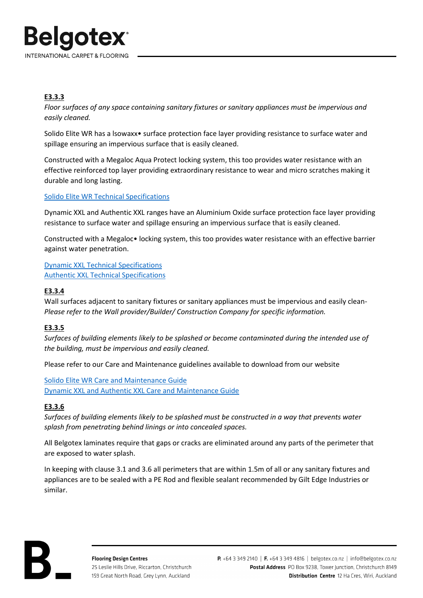

# **E3.3.3**

*Floor surfaces of any space containing sanitary fixtures or sanitary appliances must be impervious and easily cleaned.* 

Solido Elite WR has a lsowaxx• surface protection face layer providing resistance to surface water and spillage ensuring an impervious surface that is easily cleaned.

Constructed with a Megaloc Aqua Protect locking system, this too provides water resistance with an effective reinforced top layer providing extraordinary resistance to wear and micro scratches making it durable and long lasting.

## Solido Elite WR Technical [Specifications](https://belgotex.co.nz/assets/Uploads/Tech-Specs/Solido-Elite-WR-Technical-Specifications.pdf)

Dynamic XXL and Authentic XXL ranges have an Aluminium Oxide surface protection face layer providing resistance to surface water and spillage ensuring an impervious surface that is easily cleaned.

Constructed with a Megaloc• locking system, this too provides water resistance with an effective barrier against water penetration.

Dynamic XXL Technical [Specifications](https://belgotex.co.nz/assets/Uploads/Tech-Specs/Dynamic-XXL-Technical-Specifications.pdf) Authentic XXL Technical [Specifications](https://belgotex.co.nz/assets/Uploads/Tech-Specs/Authentic-XXL-Technical-Specifications.pdf)

# **E3.3.4**

Wall surfaces adjacent to sanitary fixtures or sanitary appliances must be impervious and easily clean-*Please refer to the Wall provider/Builder/ Construction Company for specific information.*

# **E3.3.5**

*Surfaces of building elements likely to be splashed or become contaminated during the intended use of the building, must be impervious and easily cleaned.* 

Please refer to our Care and Maintenance guidelines available to download from our website

Solido Elite WR Care [and Maintenance](https://belgotex.co.nz/assets/Uploads/Care-Maintenance/Solido-Elite-WR-Care-Maintenance-Guide.pdf) Guide [Dynamic XXL and Authentic XXL Care](https://belgotex.co.nz/assets/Uploads/Care-Maintenance/Luxury-Floating-Floors-Care-Maintenance.pdf) and Maintenance Guide

# **E3.3.6**

*Surfaces of building elements likely to be splashed must be constructed in a way that prevents water splash from penetrating behind linings or into concealed spaces.* 

All Belgotex laminates require that gaps or cracks are eliminated around any parts of the perimeter that are exposed to water splash.

In keeping with clause 3.1 and 3.6 all perimeters that are within 1.5m of all or any sanitary fixtures and appliances are to be sealed with a PE Rod and flexible sealant recommended by Gilt Edge Industries or similar.